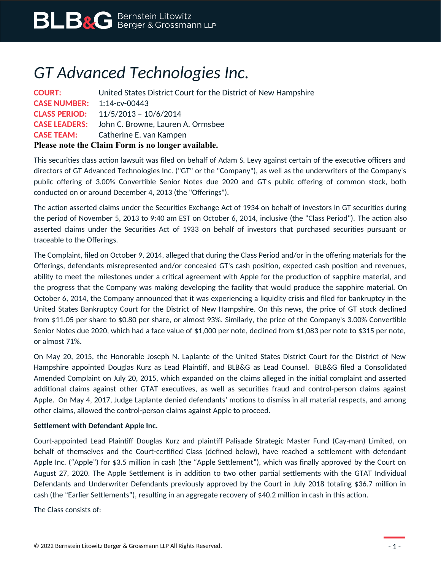## *GT Advanced Technologies Inc.*

| <b>COURT:</b>                                      | United States District Court for the District of New Hampshire |
|----------------------------------------------------|----------------------------------------------------------------|
| <b>CASE NUMBER:</b> 1:14-cv-00443                  |                                                                |
|                                                    | <b>CLASS PERIOD:</b> 11/5/2013 - 10/6/2014                     |
|                                                    | <b>CASE LEADERS:</b> John C. Browne, Lauren A. Ormsbee         |
| <b>CASE TEAM:</b>                                  | Catherine E. van Kampen                                        |
| Please note the Claim Form is no longer available. |                                                                |

This securities class action lawsuit was filed on behalf of Adam S. Levy against certain of the executive officers and directors of GT Advanced Technologies Inc. ("GT" or the "Company"), as well as the underwriters of the Company's public offering of 3.00% Convertible Senior Notes due 2020 and GT's public offering of common stock, both conducted on or around December 4, 2013 (the "Offerings").

The action asserted claims under the Securities Exchange Act of 1934 on behalf of investors in GT securities during the period of November 5, 2013 to 9:40 am EST on October 6, 2014, inclusive (the "Class Period"). The action also asserted claims under the Securities Act of 1933 on behalf of investors that purchased securities pursuant or traceable to the Offerings.

The Complaint, filed on October 9, 2014, alleged that during the Class Period and/or in the offering materials for the Offerings, defendants misrepresented and/or concealed GT's cash position, expected cash position and revenues, ability to meet the milestones under a critical agreement with Apple for the production of sapphire material, and the progress that the Company was making developing the facility that would produce the sapphire material. On October 6, 2014, the Company announced that it was experiencing a liquidity crisis and filed for bankruptcy in the United States Bankruptcy Court for the District of New Hampshire. On this news, the price of GT stock declined from \$11.05 per share to \$0.80 per share, or almost 93%. Similarly, the price of the Company's 3.00% Convertible Senior Notes due 2020, which had a face value of \$1,000 per note, declined from \$1,083 per note to \$315 per note, or almost 71%.

On May 20, 2015, the Honorable Joseph N. Laplante of the United States District Court for the District of New Hampshire appointed Douglas Kurz as Lead Plaintiff, and BLB&G as Lead Counsel. BLB&G filed a Consolidated Amended Complaint on July 20, 2015, which expanded on the claims alleged in the initial complaint and asserted additional claims against other GTAT executives, as well as securities fraud and control-person claims against Apple. On May 4, 2017, Judge Laplante denied defendants' motions to dismiss in all material respects, and among other claims, allowed the control-person claims against Apple to proceed.

## **Settlement with Defendant Apple Inc.**

Court-appointed Lead Plaintiff Douglas Kurz and plaintiff Palisade Strategic Master Fund (Cay-man) Limited, on behalf of themselves and the Court-certified Class (defined below), have reached a settlement with defendant Apple Inc. ("Apple") for \$3.5 million in cash (the "Apple Settlement"), which was finally approved by the Court on August 27, 2020. The Apple Settlement is in addition to two other partial settlements with the GTAT Individual Defendants and Underwriter Defendants previously approved by the Court in July 2018 totaling \$36.7 million in cash (the "Earlier Settlements"), resulting in an aggregate recovery of \$40.2 million in cash in this action.

The Class consists of: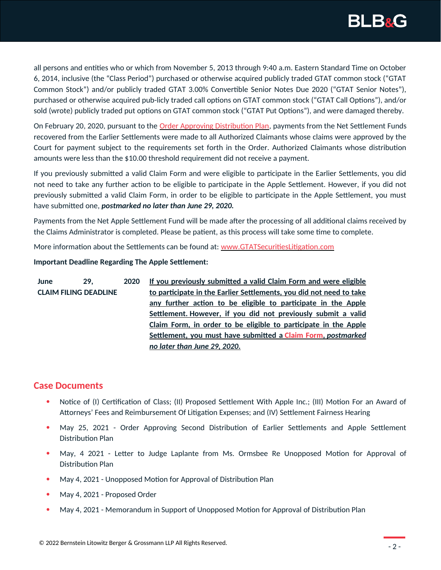

all persons and entities who or which from November 5, 2013 through 9:40 a.m. Eastern Standard Time on October 6, 2014, inclusive (the "Class Period") purchased or otherwise acquired publicly traded GTAT common stock ("GTAT Common Stock") and/or publicly traded GTAT 3.00% Convertible Senior Notes Due 2020 ("GTAT Senior Notes"), purchased or otherwise acquired pub-licly traded call options on GTAT common stock ("GTAT Call Options"), and/or sold (wrote) publicly traded put options on GTAT common stock ("GTAT Put Options"), and were damaged thereby.

On February 20, 2020, pursuant to the **Order Approving Distribution Plan**, payments from the Net Settlement Funds recovered from the Earlier Settlements were made to all Authorized Claimants whose claims were approved by the Court for payment subject to the requirements set forth in the Order. Authorized Claimants whose distribution amounts were less than the \$10.00 threshold requirement did not receive a payment.

If you previously submitted a valid Claim Form and were eligible to participate in the Earlier Settlements, you did not need to take any further action to be eligible to participate in the Apple Settlement. However, if you did not previously submitted a valid Claim Form, in order to be eligible to participate in the Apple Settlement, you must have submitted one, *postmarked no later than June 29, 2020.*

Payments from the Net Apple Settlement Fund will be made after the processing of all additional claims received by the Claims Administrator is completed. Please be patient, as this process will take some time to complete.

More information about the Settlements can be found at: [www.GTATSecuritiesLitigation.com](http://www.gtatsecuritieslitigation.com/)

## **Important Deadline Regarding The Apple Settlement:**

**June 29, 2020 CLAIM FILING DEADLINE If you previously submitted a valid Claim Form and were eligible to participate in the Earlier Settlements, you did not need to take any further action to be eligible to participate in the Apple Settlement. However, if you did not previously submit a valid Claim Form, in order to be eligible to participate in the Apple Settlement, you must have submitted a [Claim Form ,](https://www.blbglaw.com/cases/gt-advanced-technologies-inc/_res/id=Attachments/index=1/GTAT%20-%20Proof%20of%20Claim%20Form%20FINAL.pdf)** *postmarked no later than June 29, 2020* **.**

## **Case Documents**

- Notice of (I) Certification of Class; (II) Proposed Settlement With Apple Inc.; (III) Motion For an Award of Attorneys' Fees and Reimbursement Of Litigation Expenses; and (IV) Settlement Fairness Hearing
- May 25, 2021 Order Approving Second Distribution of Earlier Settlements and Apple Settlement Distribution Plan
- May, 4 2021 Letter to Judge Laplante from Ms. Ormsbee Re Unopposed Motion for Approval of Distribution Plan
- May 4, 2021 Unopposed Motion for Approval of Distribution Plan
- May 4, 2021 Proposed Order
- May 4, 2021 Memorandum in Support of Unopposed Motion for Approval of Distribution Plan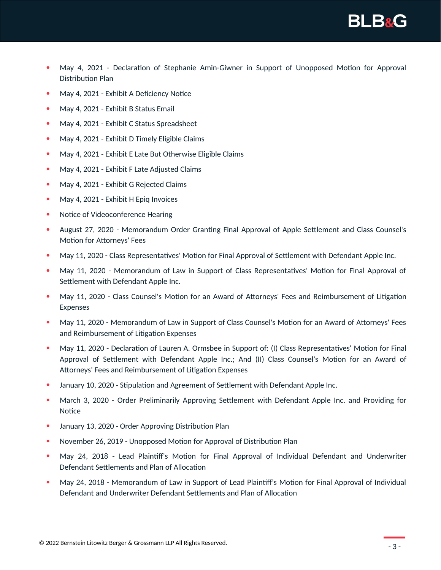

- May 4, 2021 Declaration of Stephanie Amin-Giwner in Support of Unopposed Motion for Approval Distribution Plan
- May 4, 2021 Exhibit A Deficiency Notice
- May 4, 2021 Exhibit B Status Email
- May 4, 2021 Exhibit C Status Spreadsheet
- May 4, 2021 Exhibit D Timely Eligible Claims
- May 4, 2021 Exhibit E Late But Otherwise Eligible Claims
- May 4, 2021 Exhibit F Late Adjusted Claims
- May 4, 2021 Exhibit G Rejected Claims
- May 4, 2021 Exhibit H Epig Invoices
- Notice of Videoconference Hearing
- August 27, 2020 Memorandum Order Granting Final Approval of Apple Settlement and Class Counsel's Motion for Attorneys' Fees
- May 11, 2020 Class Representatives' Motion for Final Approval of Settlement with Defendant Apple Inc.
- May 11, 2020 Memorandum of Law in Support of Class Representatives' Motion for Final Approval of Settlement with Defendant Apple Inc.
- May 11, 2020 Class Counsel's Motion for an Award of Attorneys' Fees and Reimbursement of Litigation Expenses
- May 11, 2020 Memorandum of Law in Support of Class Counsel's Motion for an Award of Attorneys' Fees and Reimbursement of Litigation Expenses
- May 11, 2020 Declaration of Lauren A. Ormsbee in Support of: (I) Class Representatives' Motion for Final Approval of Settlement with Defendant Apple Inc.; And (II) Class Counsel's Motion for an Award of Attorneys' Fees and Reimbursement of Litigation Expenses
- January 10, 2020 Stipulation and Agreement of Settlement with Defendant Apple Inc.
- March 3, 2020 Order Preliminarily Approving Settlement with Defendant Apple Inc. and Providing for Notice
- January 13, 2020 Order Approving Distribution Plan
- November 26, 2019 Unopposed Motion for Approval of Distribution Plan
- May 24, 2018 Lead Plaintiff's Motion for Final Approval of Individual Defendant and Underwriter Defendant Settlements and Plan of Allocation
- May 24, 2018 Memorandum of Law in Support of Lead Plaintiff's Motion for Final Approval of Individual Defendant and Underwriter Defendant Settlements and Plan of Allocation